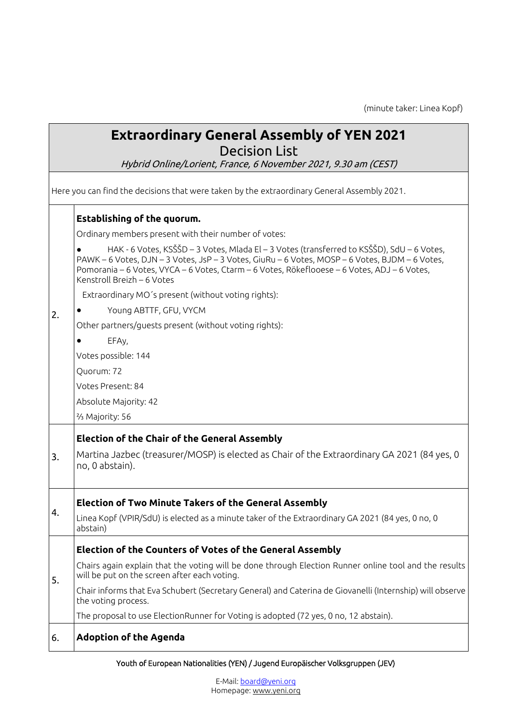(minute taker: Linea Kopf)

# **Extraordinary General Assembly of YEN 2021**

Decision List

Hybrid Online/Lorient, France, 6 November 2021, 9.30 am (CEST)

Here you can find the decisions that were taken by the extraordinary General Assembly 2021.

#### **Establishing of the quorum.**

Ordinary members present with their number of votes:

● HAK - 6 Votes, KSŠŠD – 3 Votes, Mlada El – 3 Votes (transferred to KSŠŠD), SdU – 6 Votes, PAWK – 6 Votes, DJN – 3 Votes, JsP – 3 Votes, GiuRu – 6 Votes, MOSP – 6 Votes, BJDM – 6 Votes, Pomorania – 6 Votes, VYCA – 6 Votes, Ctarm – 6 Votes, Rökeflooese – 6 Votes, ADJ – 6 Votes, Kenstroll Breizh – 6 Votes Extraordinary MO´s present (without voting rights):

Young ABTTF, GFU, VYCM

Other partners/guests present (without voting rights):

EFA<sub>v</sub>

2.

Votes possible: 144

Quorum: 72

Votes Present: 84

Absolute Majority: 42

⅔ Majority: 56

#### **Election of the Chair of the General Assembly**

3. Martina Jazbec (treasurer/MOSP) is elected as Chair of the Extraordinary GA 2021 (84 yes, 0 no, 0 abstain).

#### **Election of Two Minute Takers of the General Assembly**

4. Linea Kopf (VPIR/SdU) is elected as a minute taker of the Extraordinary GA 2021 (84 yes, 0 no, 0 abstain)

## **Election of the Counters of Votes of the General Assembly**

5. Chairs again explain that the voting will be done through Election Runner online tool and the results will be put on the screen after each voting.

Chair informs that Eva Schubert (Secretary General) and Caterina de Giovanelli (Internship) will observe the voting process.

The proposal to use ElectionRunner for Voting is adopted (72 yes, 0 no, 12 abstain).

### 6. **Adoption of the Agenda**

#### Youth of European Nationalities (YEN) / Jugend Europäischer Volksgruppen (JEV)